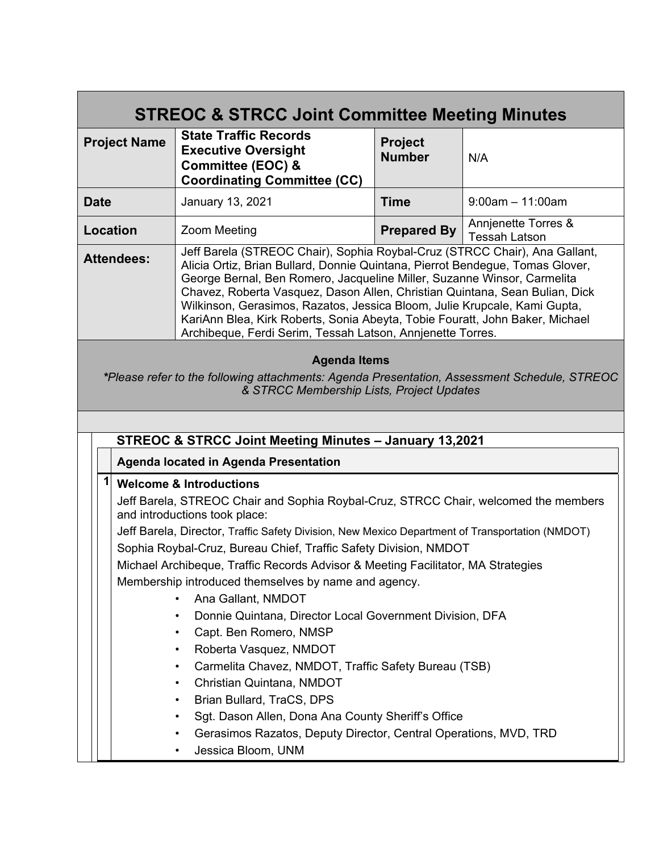| <b>STREOC &amp; STRCC Joint Committee Meeting Minutes</b>                                                                                                                                                                                                                                                                                                                                                                                                                                                                                                                                                                                                                                                                                                                                                                                                  |                                                                                                                       |                                             |                       |  |
|------------------------------------------------------------------------------------------------------------------------------------------------------------------------------------------------------------------------------------------------------------------------------------------------------------------------------------------------------------------------------------------------------------------------------------------------------------------------------------------------------------------------------------------------------------------------------------------------------------------------------------------------------------------------------------------------------------------------------------------------------------------------------------------------------------------------------------------------------------|-----------------------------------------------------------------------------------------------------------------------|---------------------------------------------|-----------------------|--|
| <b>Project Name</b>                                                                                                                                                                                                                                                                                                                                                                                                                                                                                                                                                                                                                                                                                                                                                                                                                                        | <b>State Traffic Records</b><br><b>Executive Oversight</b><br>Committee (EOC) &<br><b>Coordinating Committee (CC)</b> | <b>Project</b><br><b>Number</b>             | N/A                   |  |
| <b>Date</b>                                                                                                                                                                                                                                                                                                                                                                                                                                                                                                                                                                                                                                                                                                                                                                                                                                                | January 13, 2021                                                                                                      | <b>Time</b>                                 | $9:00$ am $-11:00$ am |  |
| <b>Prepared By</b><br><b>Location</b><br><b>Zoom Meeting</b>                                                                                                                                                                                                                                                                                                                                                                                                                                                                                                                                                                                                                                                                                                                                                                                               |                                                                                                                       | Annienette Torres &<br><b>Tessah Latson</b> |                       |  |
| Jeff Barela (STREOC Chair), Sophia Roybal-Cruz (STRCC Chair), Ana Gallant,<br><b>Attendees:</b><br>Alicia Ortiz, Brian Bullard, Donnie Quintana, Pierrot Bendegue, Tomas Glover,<br>George Bernal, Ben Romero, Jacqueline Miller, Suzanne Winsor, Carmelita<br>Chavez, Roberta Vasquez, Dason Allen, Christian Quintana, Sean Bulian, Dick<br>Wilkinson, Gerasimos, Razatos, Jessica Bloom, Julie Krupcale, Kami Gupta,<br>KariAnn Blea, Kirk Roberts, Sonia Abeyta, Tobie Fouratt, John Baker, Michael<br>Archibeque, Ferdi Serim, Tessah Latson, Annjenette Torres.                                                                                                                                                                                                                                                                                      |                                                                                                                       |                                             |                       |  |
| <b>Agenda Items</b><br>*Please refer to the following attachments: Agenda Presentation, Assessment Schedule, STREOC<br>& STRCC Membership Lists, Project Updates                                                                                                                                                                                                                                                                                                                                                                                                                                                                                                                                                                                                                                                                                           |                                                                                                                       |                                             |                       |  |
| <b>STREOC &amp; STRCC Joint Meeting Minutes - January 13,2021</b>                                                                                                                                                                                                                                                                                                                                                                                                                                                                                                                                                                                                                                                                                                                                                                                          |                                                                                                                       |                                             |                       |  |
| Agenda located in Agenda Presentation                                                                                                                                                                                                                                                                                                                                                                                                                                                                                                                                                                                                                                                                                                                                                                                                                      |                                                                                                                       |                                             |                       |  |
| 11<br><b>Welcome &amp; Introductions</b><br>Jeff Barela, STREOC Chair and Sophia Roybal-Cruz, STRCC Chair, welcomed the members<br>and introductions took place:<br>Jeff Barela, Director, Traffic Safety Division, New Mexico Department of Transportation (NMDOT)<br>Sophia Roybal-Cruz, Bureau Chief, Traffic Safety Division, NMDOT<br>Michael Archibeque, Traffic Records Advisor & Meeting Facilitator, MA Strategies<br>Membership introduced themselves by name and agency.<br>Ana Gallant, NMDOT<br>Donnie Quintana, Director Local Government Division, DFA<br>Capt. Ben Romero, NMSP<br>$\bullet$<br>Roberta Vasquez, NMDOT<br>$\bullet$<br>Carmelita Chavez, NMDOT, Traffic Safety Bureau (TSB)<br>$\bullet$<br>Christian Quintana, NMDOT<br>$\bullet$<br>Brian Bullard, TraCS, DPS<br>Sgt. Dason Allen, Dona Ana County Sheriff's Office<br>٠ |                                                                                                                       |                                             |                       |  |
| Gerasimos Razatos, Deputy Director, Central Operations, MVD, TRD                                                                                                                                                                                                                                                                                                                                                                                                                                                                                                                                                                                                                                                                                                                                                                                           |                                                                                                                       |                                             |                       |  |
|                                                                                                                                                                                                                                                                                                                                                                                                                                                                                                                                                                                                                                                                                                                                                                                                                                                            | Jessica Bloom, UNM                                                                                                    |                                             |                       |  |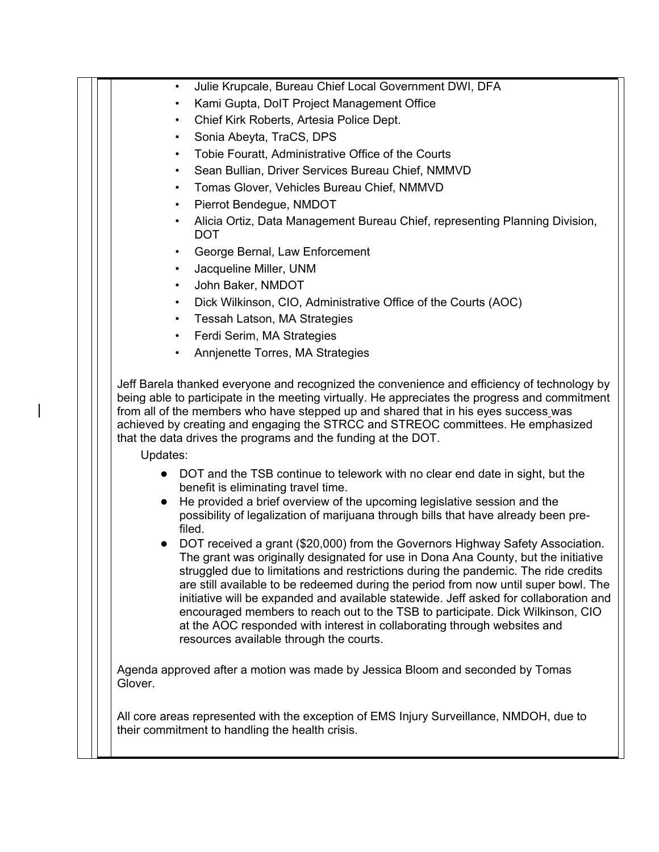| Julie Krupcale, Bureau Chief Local Government DWI, DFA<br>$\bullet$                                                                                                                                                                                                                                                                                                                                                                                                                                                                                                                                                                                  |
|------------------------------------------------------------------------------------------------------------------------------------------------------------------------------------------------------------------------------------------------------------------------------------------------------------------------------------------------------------------------------------------------------------------------------------------------------------------------------------------------------------------------------------------------------------------------------------------------------------------------------------------------------|
| Kami Gupta, DoIT Project Management Office<br>$\bullet$                                                                                                                                                                                                                                                                                                                                                                                                                                                                                                                                                                                              |
| Chief Kirk Roberts, Artesia Police Dept.<br>٠                                                                                                                                                                                                                                                                                                                                                                                                                                                                                                                                                                                                        |
| Sonia Abeyta, TraCS, DPS<br>$\bullet$                                                                                                                                                                                                                                                                                                                                                                                                                                                                                                                                                                                                                |
| Tobie Fouratt, Administrative Office of the Courts<br>$\bullet$                                                                                                                                                                                                                                                                                                                                                                                                                                                                                                                                                                                      |
| Sean Bullian, Driver Services Bureau Chief, NMMVD<br>$\bullet$                                                                                                                                                                                                                                                                                                                                                                                                                                                                                                                                                                                       |
| Tomas Glover, Vehicles Bureau Chief, NMMVD<br>$\bullet$                                                                                                                                                                                                                                                                                                                                                                                                                                                                                                                                                                                              |
| Pierrot Bendegue, NMDOT<br>$\bullet$                                                                                                                                                                                                                                                                                                                                                                                                                                                                                                                                                                                                                 |
| Alicia Ortiz, Data Management Bureau Chief, representing Planning Division,<br>$\bullet$<br><b>DOT</b>                                                                                                                                                                                                                                                                                                                                                                                                                                                                                                                                               |
| George Bernal, Law Enforcement<br>$\bullet$                                                                                                                                                                                                                                                                                                                                                                                                                                                                                                                                                                                                          |
| Jacqueline Miller, UNM<br>$\bullet$                                                                                                                                                                                                                                                                                                                                                                                                                                                                                                                                                                                                                  |
| John Baker, NMDOT<br>$\bullet$                                                                                                                                                                                                                                                                                                                                                                                                                                                                                                                                                                                                                       |
| Dick Wilkinson, CIO, Administrative Office of the Courts (AOC)<br>$\bullet$                                                                                                                                                                                                                                                                                                                                                                                                                                                                                                                                                                          |
| Tessah Latson, MA Strategies<br>$\bullet$                                                                                                                                                                                                                                                                                                                                                                                                                                                                                                                                                                                                            |
| Ferdi Serim, MA Strategies<br>$\bullet$                                                                                                                                                                                                                                                                                                                                                                                                                                                                                                                                                                                                              |
| Annjenette Torres, MA Strategies<br>$\bullet$                                                                                                                                                                                                                                                                                                                                                                                                                                                                                                                                                                                                        |
| Updates:<br>DOT and the TSB continue to telework with no clear end date in sight, but the<br>benefit is eliminating travel time.                                                                                                                                                                                                                                                                                                                                                                                                                                                                                                                     |
| He provided a brief overview of the upcoming legislative session and the<br>$\bullet$<br>possibility of legalization of marijuana through bills that have already been pre-<br>filed.                                                                                                                                                                                                                                                                                                                                                                                                                                                                |
| DOT received a grant (\$20,000) from the Governors Highway Safety Association.<br>The grant was originally designated for use in Dona Ana County, but the initiative<br>struggled due to limitations and restrictions during the pandemic. The ride credits<br>are still available to be redeemed during the period from now until super bowl. The<br>initiative will be expanded and available statewide. Jeff asked for collaboration and<br>encouraged members to reach out to the TSB to participate. Dick Wilkinson, CIO<br>at the AOC responded with interest in collaborating through websites and<br>resources available through the courts. |
| Agenda approved after a motion was made by Jessica Bloom and seconded by Tomas<br>Glover.                                                                                                                                                                                                                                                                                                                                                                                                                                                                                                                                                            |
| All core areas represented with the exception of EMS Injury Surveillance, NMDOH, due to<br>their commitment to handling the health crisis.                                                                                                                                                                                                                                                                                                                                                                                                                                                                                                           |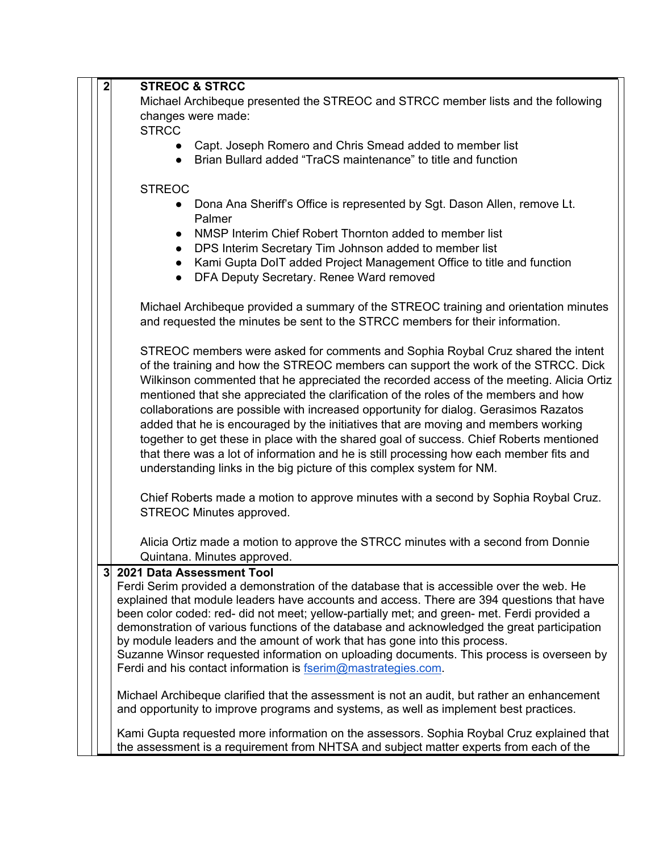| 2  | <b>STREOC &amp; STRCC</b>                                                                                                                                                                                                                                                                                                                                           |  |  |  |
|----|---------------------------------------------------------------------------------------------------------------------------------------------------------------------------------------------------------------------------------------------------------------------------------------------------------------------------------------------------------------------|--|--|--|
|    | Michael Archibeque presented the STREOC and STRCC member lists and the following                                                                                                                                                                                                                                                                                    |  |  |  |
|    | changes were made:                                                                                                                                                                                                                                                                                                                                                  |  |  |  |
|    | <b>STRCC</b>                                                                                                                                                                                                                                                                                                                                                        |  |  |  |
|    | Capt. Joseph Romero and Chris Smead added to member list                                                                                                                                                                                                                                                                                                            |  |  |  |
|    | Brian Bullard added "TraCS maintenance" to title and function                                                                                                                                                                                                                                                                                                       |  |  |  |
|    |                                                                                                                                                                                                                                                                                                                                                                     |  |  |  |
|    | <b>STREOC</b>                                                                                                                                                                                                                                                                                                                                                       |  |  |  |
|    | Dona Ana Sheriff's Office is represented by Sgt. Dason Allen, remove Lt.                                                                                                                                                                                                                                                                                            |  |  |  |
|    | Palmer                                                                                                                                                                                                                                                                                                                                                              |  |  |  |
|    | NMSP Interim Chief Robert Thornton added to member list<br>$\bullet$                                                                                                                                                                                                                                                                                                |  |  |  |
|    | DPS Interim Secretary Tim Johnson added to member list                                                                                                                                                                                                                                                                                                              |  |  |  |
|    | Kami Gupta DoIT added Project Management Office to title and function                                                                                                                                                                                                                                                                                               |  |  |  |
|    | DFA Deputy Secretary. Renee Ward removed                                                                                                                                                                                                                                                                                                                            |  |  |  |
|    | Michael Archibeque provided a summary of the STREOC training and orientation minutes                                                                                                                                                                                                                                                                                |  |  |  |
|    | and requested the minutes be sent to the STRCC members for their information.                                                                                                                                                                                                                                                                                       |  |  |  |
|    | STREOC members were asked for comments and Sophia Roybal Cruz shared the intent                                                                                                                                                                                                                                                                                     |  |  |  |
|    | of the training and how the STREOC members can support the work of the STRCC. Dick                                                                                                                                                                                                                                                                                  |  |  |  |
|    | Wilkinson commented that he appreciated the recorded access of the meeting. Alicia Ortiz                                                                                                                                                                                                                                                                            |  |  |  |
|    | mentioned that she appreciated the clarification of the roles of the members and how                                                                                                                                                                                                                                                                                |  |  |  |
|    | collaborations are possible with increased opportunity for dialog. Gerasimos Razatos                                                                                                                                                                                                                                                                                |  |  |  |
|    | added that he is encouraged by the initiatives that are moving and members working                                                                                                                                                                                                                                                                                  |  |  |  |
|    | together to get these in place with the shared goal of success. Chief Roberts mentioned<br>that there was a lot of information and he is still processing how each member fits and                                                                                                                                                                                  |  |  |  |
|    |                                                                                                                                                                                                                                                                                                                                                                     |  |  |  |
|    | understanding links in the big picture of this complex system for NM.                                                                                                                                                                                                                                                                                               |  |  |  |
|    | Chief Roberts made a motion to approve minutes with a second by Sophia Roybal Cruz.                                                                                                                                                                                                                                                                                 |  |  |  |
|    | STREOC Minutes approved.                                                                                                                                                                                                                                                                                                                                            |  |  |  |
|    | Alicia Ortiz made a motion to approve the STRCC minutes with a second from Donnie                                                                                                                                                                                                                                                                                   |  |  |  |
|    | Quintana. Minutes approved.                                                                                                                                                                                                                                                                                                                                         |  |  |  |
| 31 | 2021 Data Assessment Tool                                                                                                                                                                                                                                                                                                                                           |  |  |  |
|    | Ferdi Serim provided a demonstration of the database that is accessible over the web. He                                                                                                                                                                                                                                                                            |  |  |  |
|    | explained that module leaders have accounts and access. There are 394 questions that have                                                                                                                                                                                                                                                                           |  |  |  |
|    | been color coded: red- did not meet; yellow-partially met; and green- met. Ferdi provided a<br>demonstration of various functions of the database and acknowledged the great participation<br>by module leaders and the amount of work that has gone into this process.<br>Suzanne Winsor requested information on uploading documents. This process is overseen by |  |  |  |
|    |                                                                                                                                                                                                                                                                                                                                                                     |  |  |  |
|    |                                                                                                                                                                                                                                                                                                                                                                     |  |  |  |
|    | Ferdi and his contact information is fserim@mastrategies.com.                                                                                                                                                                                                                                                                                                       |  |  |  |
|    | Michael Archibeque clarified that the assessment is not an audit, but rather an enhancement                                                                                                                                                                                                                                                                         |  |  |  |
|    | and opportunity to improve programs and systems, as well as implement best practices.                                                                                                                                                                                                                                                                               |  |  |  |
|    | Kami Gupta requested more information on the assessors. Sophia Roybal Cruz explained that                                                                                                                                                                                                                                                                           |  |  |  |
|    | the assessment is a requirement from NHTSA and subject matter experts from each of the                                                                                                                                                                                                                                                                              |  |  |  |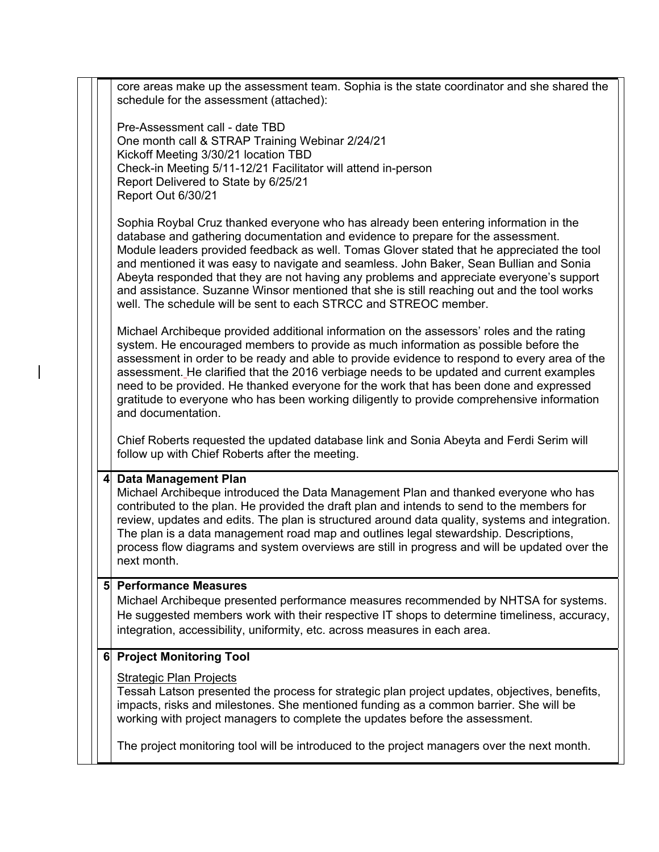|   | core areas make up the assessment team. Sophia is the state coordinator and she shared the<br>schedule for the assessment (attached):                                                                                                                                                                                                                                                                                                                                                                                                                                                                                          |
|---|--------------------------------------------------------------------------------------------------------------------------------------------------------------------------------------------------------------------------------------------------------------------------------------------------------------------------------------------------------------------------------------------------------------------------------------------------------------------------------------------------------------------------------------------------------------------------------------------------------------------------------|
|   | Pre-Assessment call - date TBD<br>One month call & STRAP Training Webinar 2/24/21<br>Kickoff Meeting 3/30/21 location TBD<br>Check-in Meeting 5/11-12/21 Facilitator will attend in-person<br>Report Delivered to State by 6/25/21<br>Report Out 6/30/21                                                                                                                                                                                                                                                                                                                                                                       |
|   | Sophia Roybal Cruz thanked everyone who has already been entering information in the<br>database and gathering documentation and evidence to prepare for the assessment.<br>Module leaders provided feedback as well. Tomas Glover stated that he appreciated the tool<br>and mentioned it was easy to navigate and seamless. John Baker, Sean Bullian and Sonia<br>Abeyta responded that they are not having any problems and appreciate everyone's support<br>and assistance. Suzanne Winsor mentioned that she is still reaching out and the tool works<br>well. The schedule will be sent to each STRCC and STREOC member. |
|   | Michael Archibeque provided additional information on the assessors' roles and the rating<br>system. He encouraged members to provide as much information as possible before the<br>assessment in order to be ready and able to provide evidence to respond to every area of the<br>assessment. He clarified that the 2016 verbiage needs to be updated and current examples<br>need to be provided. He thanked everyone for the work that has been done and expressed<br>gratitude to everyone who has been working diligently to provide comprehensive information<br>and documentation.                                     |
|   | Chief Roberts requested the updated database link and Sonia Abeyta and Ferdi Serim will<br>follow up with Chief Roberts after the meeting.                                                                                                                                                                                                                                                                                                                                                                                                                                                                                     |
| 4 | <b>Data Management Plan</b><br>Michael Archibeque introduced the Data Management Plan and thanked everyone who has<br>contributed to the plan. He provided the draft plan and intends to send to the members for<br>review, updates and edits. The plan is structured around data quality, systems and integration.<br>The plan is a data management road map and outlines legal stewardship. Descriptions,<br>process flow diagrams and system overviews are still in progress and will be updated over the<br>next month.                                                                                                    |
|   | 5 Performance Measures<br>Michael Archibeque presented performance measures recommended by NHTSA for systems.<br>He suggested members work with their respective IT shops to determine timeliness, accuracy,<br>integration, accessibility, uniformity, etc. across measures in each area.                                                                                                                                                                                                                                                                                                                                     |
| 6 | <b>Project Monitoring Tool</b>                                                                                                                                                                                                                                                                                                                                                                                                                                                                                                                                                                                                 |
|   | <b>Strategic Plan Projects</b><br>Tessah Latson presented the process for strategic plan project updates, objectives, benefits,<br>impacts, risks and milestones. She mentioned funding as a common barrier. She will be<br>working with project managers to complete the updates before the assessment.                                                                                                                                                                                                                                                                                                                       |
|   | The project monitoring tool will be introduced to the project managers over the next month.                                                                                                                                                                                                                                                                                                                                                                                                                                                                                                                                    |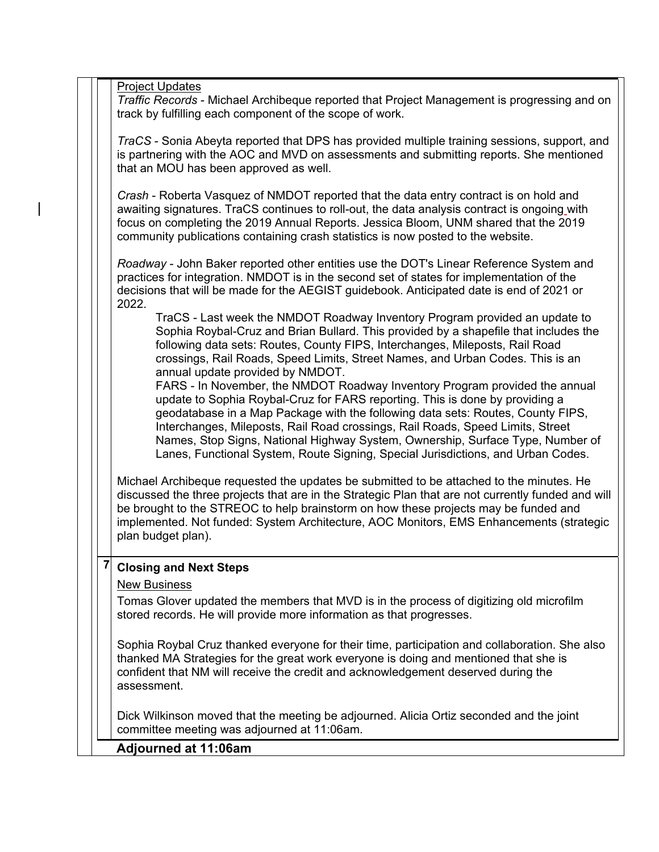Project Updates

*Traffic Records* - Michael Archibeque reported that Project Management is progressing and on track by fulfilling each component of the scope of work.

*TraCS* - Sonia Abeyta reported that DPS has provided multiple training sessions, support, and is partnering with the AOC and MVD on assessments and submitting reports. She mentioned that an MOU has been approved as well.

*Crash* - Roberta Vasquez of NMDOT reported that the data entry contract is on hold and awaiting signatures. TraCS continues to roll-out, the data analysis contract is ongoing with focus on completing the 2019 Annual Reports. Jessica Bloom, UNM shared that the 2019 community publications containing crash statistics is now posted to the website.

*Roadway* - John Baker reported other entities use the DOT's Linear Reference System and practices for integration. NMDOT is in the second set of states for implementation of the decisions that will be made for the AEGIST guidebook. Anticipated date is end of 2021 or 2022.

TraCS - Last week the NMDOT Roadway Inventory Program provided an update to Sophia Roybal-Cruz and Brian Bullard. This provided by a shapefile that includes the following data sets: Routes, County FIPS, Interchanges, Mileposts, Rail Road crossings, Rail Roads, Speed Limits, Street Names, and Urban Codes. This is an annual update provided by NMDOT.

FARS - In November, the NMDOT Roadway Inventory Program provided the annual update to Sophia Roybal-Cruz for FARS reporting. This is done by providing a geodatabase in a Map Package with the following data sets: Routes, County FIPS, Interchanges, Mileposts, Rail Road crossings, Rail Roads, Speed Limits, Street Names, Stop Signs, National Highway System, Ownership, Surface Type, Number of Lanes, Functional System, Route Signing, Special Jurisdictions, and Urban Codes.

Michael Archibeque requested the updates be submitted to be attached to the minutes. He discussed the three projects that are in the Strategic Plan that are not currently funded and will be brought to the STREOC to help brainstorm on how these projects may be funded and implemented. Not funded: System Architecture, AOC Monitors, EMS Enhancements (strategic plan budget plan).

### **7 Closing and Next Steps**

#### New Business

Tomas Glover updated the members that MVD is in the process of digitizing old microfilm stored records. He will provide more information as that progresses.

Sophia Roybal Cruz thanked everyone for their time, participation and collaboration. She also thanked MA Strategies for the great work everyone is doing and mentioned that she is confident that NM will receive the credit and acknowledgement deserved during the assessment.

Dick Wilkinson moved that the meeting be adjourned. Alicia Ortiz seconded and the joint committee meeting was adjourned at 11:06am.

#### **Adjourned at 11:06am**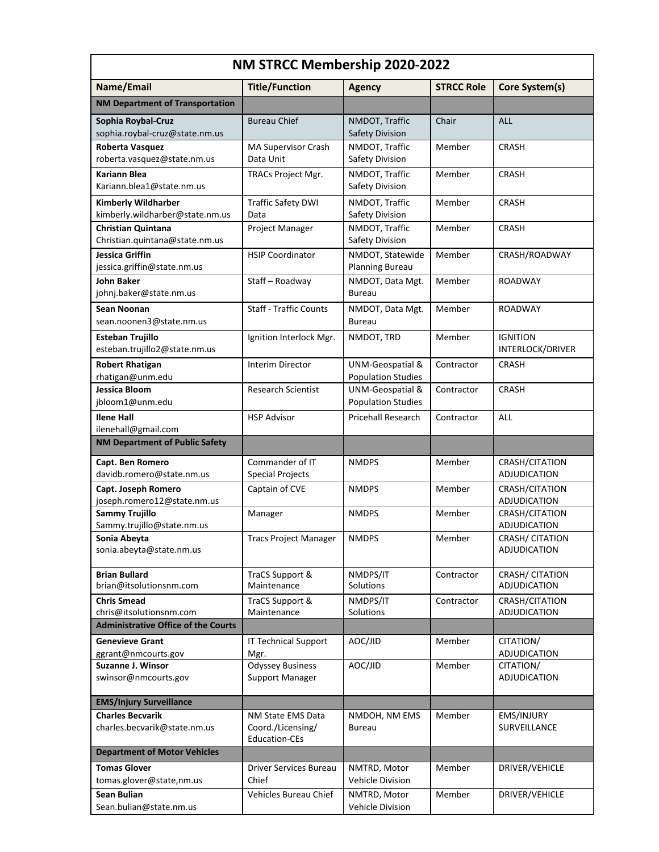| NM STRCC Membership 2020-2022                                 |                                                                |                                               |                   |                                        |
|---------------------------------------------------------------|----------------------------------------------------------------|-----------------------------------------------|-------------------|----------------------------------------|
| Name/Email                                                    | <b>Title/Function</b>                                          | <b>Agency</b>                                 | <b>STRCC Role</b> | Core System(s)                         |
| NM Department of Transportation                               |                                                                |                                               |                   |                                        |
| Sophia Roybal-Cruz<br>sophia.roybal-cruz@state.nm.us          | <b>Bureau Chief</b>                                            | NMDOT, Traffic<br>Safety Division             | Chair             | <b>ALL</b>                             |
| Roberta Vasquez<br>roberta.vasquez@state.nm.us                | MA Supervisor Crash<br>Data Unit                               | NMDOT, Traffic<br>Safety Division             | Member            | <b>CRASH</b>                           |
| <b>Kariann Blea</b><br>Kariann.blea1@state.nm.us              | TRACs Project Mgr.                                             | NMDOT, Traffic<br>Safety Division             | Member            | <b>CRASH</b>                           |
| <b>Kimberly Wildharber</b><br>kimberly.wildharber@state.nm.us | <b>Traffic Safety DWI</b><br>Data                              | NMDOT, Traffic<br>Safety Division             | Member            | <b>CRASH</b>                           |
| <b>Christian Quintana</b><br>Christian.quintana@state.nm.us   | Project Manager                                                | NMDOT, Traffic<br>Safety Division             | Member            | <b>CRASH</b>                           |
| Jessica Griffin<br>jessica.griffin@state.nm.us                | <b>HSIP Coordinator</b>                                        | NMDOT, Statewide<br>Planning Bureau           | Member            | CRASH/ROADWAY                          |
| <b>John Baker</b><br>johnj.baker@state.nm.us                  | Staff - Roadway                                                | NMDOT, Data Mgt.<br>Bureau                    | Member            | <b>ROADWAY</b>                         |
| Sean Noonan<br>sean.noonen3@state.nm.us                       | <b>Staff - Traffic Counts</b>                                  | NMDOT, Data Mgt.<br>Bureau                    | Member            | <b>ROADWAY</b>                         |
| <b>Esteban Trujillo</b><br>esteban.trujillo2@state.nm.us      | Ignition Interlock Mgr.                                        | NMDOT, TRD                                    | Member            | <b>IGNITION</b><br>INTERLOCK/DRIVER    |
| <b>Robert Rhatigan</b><br>rhatigan@unm.edu                    | <b>Interim Director</b>                                        | UNM-Geospatial &<br><b>Population Studies</b> | Contractor        | <b>CRASH</b>                           |
| Jessica Bloom<br>jbloom1@unm.edu                              | <b>Research Scientist</b>                                      | UNM-Geospatial &<br><b>Population Studies</b> | Contractor        | <b>CRASH</b>                           |
| <b>Ilene Hall</b><br>ilenehall@gmail.com                      | <b>HSP Advisor</b>                                             | <b>Pricehall Research</b>                     | Contractor        | ALL                                    |
| NM Department of Public Safety                                |                                                                |                                               |                   |                                        |
| Capt. Ben Romero<br>davidb.romero@state.nm.us                 | Commander of IT<br><b>Special Projects</b>                     | <b>NMDPS</b>                                  | Member            | CRASH/CITATION<br>ADJUDICATION         |
| Capt. Joseph Romero<br>joseph.romero12@state.nm.us            | Captain of CVE                                                 | <b>NMDPS</b>                                  | Member            | CRASH/CITATION<br><b>ADJUDICATION</b>  |
| <b>Sammy Trujillo</b><br>Sammy.trujillo@state.nm.us           | Manager                                                        | <b>NMDPS</b>                                  | Member            | CRASH/CITATION<br>ADJUDICATION         |
| Sonia Abeyta<br>sonia.abeyta@state.nm.us                      | <b>Tracs Project Manager</b>                                   | <b>NMDPS</b>                                  | Member            | CRASH/ CITATION<br>ADJUDICATION        |
| <b>Brian Bullard</b><br>brian@itsolutionsnm.com               | TraCS Support &<br>Maintenance                                 | NMDPS/IT<br>Solutions                         | Contractor        | <b>CRASH/ CITATION</b><br>ADJUDICATION |
| <b>Chris Smead</b><br>chris@itsolutionsnm.com                 | TraCS Support &<br>Maintenance                                 | NMDPS/IT<br>Solutions                         | Contractor        | CRASH/CITATION<br>ADJUDICATION         |
| <b>Administrative Office of the Courts</b>                    |                                                                |                                               |                   |                                        |
| <b>Genevieve Grant</b><br>ggrant@nmcourts.gov                 | <b>IT Technical Support</b><br>Mgr.                            | AOC/JID                                       | Member            | CITATION/<br>ADJUDICATION              |
| <b>Suzanne J. Winsor</b><br>swinsor@nmcourts.gov              | Odyssey Business<br>Support Manager                            | AOC/JID                                       | Member            | CITATION/<br>ADJUDICATION              |
| <b>EMS/Injury Surveillance</b>                                |                                                                |                                               |                   |                                        |
| <b>Charles Becvarik</b><br>charles.becvarik@state.nm.us       | NM State EMS Data<br>Coord./Licensing/<br><b>Education-CEs</b> | NMDOH, NM EMS<br><b>Bureau</b>                | Member            | EMS/INJURY<br>SURVEILLANCE             |
| <b>Department of Motor Vehicles</b>                           |                                                                |                                               |                   |                                        |
| <b>Tomas Glover</b><br>tomas.glover@state,nm.us               | Driver Services Bureau<br>Chief                                | NMTRD, Motor<br>Vehicle Division              | Member            | DRIVER/VEHICLE                         |
| <b>Sean Bulian</b><br>Sean.bulian@state.nm.us                 | Vehicles Bureau Chief                                          | NMTRD, Motor<br>Vehicle Division              | Member            | DRIVER/VEHICLE                         |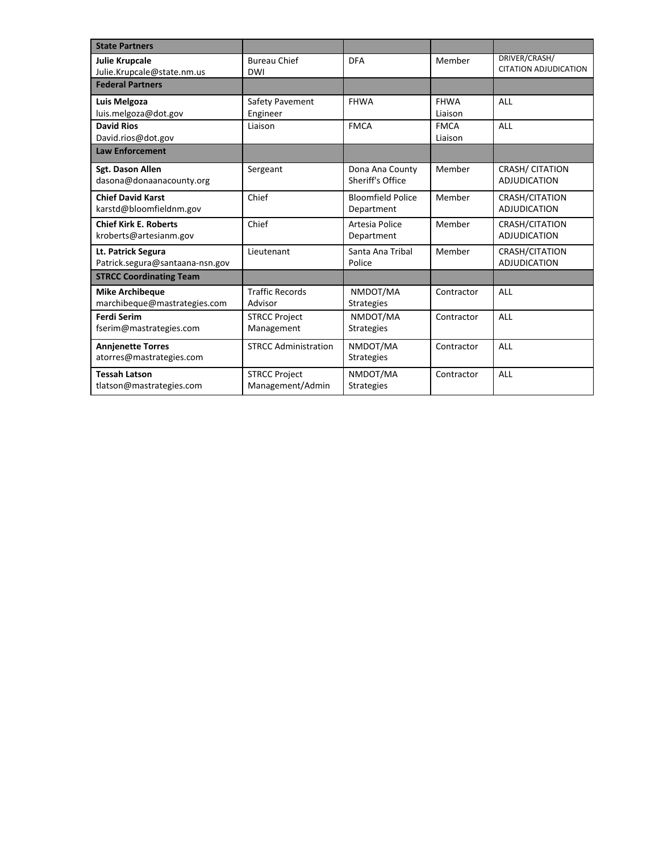| <b>State Partners</b>                                  |                                          |                                        |                        |                                               |
|--------------------------------------------------------|------------------------------------------|----------------------------------------|------------------------|-----------------------------------------------|
| <b>Julie Krupcale</b><br>Julie.Krupcale@state.nm.us    | <b>Bureau Chief</b><br><b>DWI</b>        | <b>DFA</b>                             | Member                 | DRIVER/CRASH/<br><b>CITATION ADJUDICATION</b> |
| <b>Federal Partners</b>                                |                                          |                                        |                        |                                               |
| Luis Melgoza<br>luis.melgoza@dot.gov                   | Safety Pavement<br>Engineer              | <b>FHWA</b>                            | <b>FHWA</b><br>Liaison | ALL                                           |
| <b>David Rios</b><br>David.rios@dot.gov                | Liaison                                  | <b>FMCA</b>                            | <b>FMCA</b><br>Liaison | ALL                                           |
| <b>Law Enforcement</b>                                 |                                          |                                        |                        |                                               |
| Sgt. Dason Allen<br>dasona@donaanacounty.org           | Sergeant                                 | Dona Ana County<br>Sheriff's Office    | Member                 | <b>CRASH/ CITATION</b><br><b>ADJUDICATION</b> |
| <b>Chief David Karst</b><br>karstd@bloomfieldnm.gov    | Chief                                    | <b>Bloomfield Police</b><br>Department | Member                 | CRASH/CITATION<br><b>ADJUDICATION</b>         |
| <b>Chief Kirk E. Roberts</b><br>kroberts@artesianm.gov | Chief                                    | Artesia Police<br>Department           | Member                 | CRASH/CITATION<br><b>ADJUDICATION</b>         |
| Lt. Patrick Segura<br>Patrick.segura@santaana-nsn.gov  | Lieutenant                               | Santa Ana Tribal<br>Police             | Member                 | CRASH/CITATION<br><b>ADJUDICATION</b>         |
| <b>STRCC Coordinating Team</b>                         |                                          |                                        |                        |                                               |
| <b>Mike Archibeque</b><br>marchibeque@mastrategies.com | <b>Traffic Records</b><br>Advisor        | NMDOT/MA<br><b>Strategies</b>          | Contractor             | <b>ALL</b>                                    |
| <b>Ferdi Serim</b><br>fserim@mastrategies.com          | <b>STRCC Project</b><br>Management       | NMDOT/MA<br><b>Strategies</b>          | Contractor             | ALL                                           |
| <b>Annjenette Torres</b><br>atorres@mastrategies.com   | <b>STRCC Administration</b>              | NMDOT/MA<br><b>Strategies</b>          | Contractor             | <b>ALL</b>                                    |
| <b>Tessah Latson</b><br>tlatson@mastrategies.com       | <b>STRCC Project</b><br>Management/Admin | NMDOT/MA<br><b>Strategies</b>          | Contractor             | <b>ALL</b>                                    |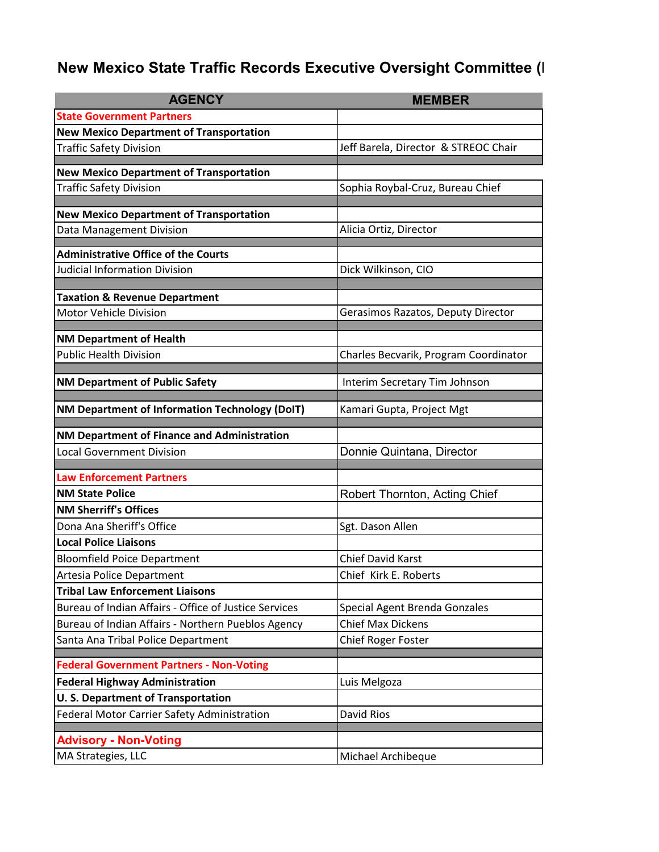# **New Mexico State Traffic Records Executive Oversight Committee (I)**

| <b>AGENCY</b>                                         | <b>MEMBER</b>                         |
|-------------------------------------------------------|---------------------------------------|
| <b>State Government Partners</b>                      |                                       |
| <b>New Mexico Department of Transportation</b>        |                                       |
| <b>Traffic Safety Division</b>                        | Jeff Barela, Director & STREOC Chair  |
| <b>New Mexico Department of Transportation</b>        |                                       |
| <b>Traffic Safety Division</b>                        | Sophia Roybal-Cruz, Bureau Chief      |
|                                                       |                                       |
| <b>New Mexico Department of Transportation</b>        |                                       |
| Data Management Division                              | Alicia Ortiz, Director                |
| <b>Administrative Office of the Courts</b>            |                                       |
| <b>Judicial Information Division</b>                  | Dick Wilkinson, CIO                   |
|                                                       |                                       |
| <b>Taxation &amp; Revenue Department</b>              |                                       |
| <b>Motor Vehicle Division</b>                         | Gerasimos Razatos, Deputy Director    |
| <b>NM Department of Health</b>                        |                                       |
| <b>Public Health Division</b>                         | Charles Becvarik, Program Coordinator |
|                                                       |                                       |
| <b>NM Department of Public Safety</b>                 | Interim Secretary Tim Johnson         |
| NM Department of Information Technology (DoIT)        | Kamari Gupta, Project Mgt             |
| NM Department of Finance and Administration           |                                       |
| <b>Local Government Division</b>                      | Donnie Quintana, Director             |
| <b>Law Enforcement Partners</b>                       |                                       |
| <b>NM State Police</b>                                | Robert Thornton, Acting Chief         |
| <b>NM Sherriff's Offices</b>                          |                                       |
| Dona Ana Sheriff's Office                             | Sgt. Dason Allen                      |
| <b>Local Police Liaisons</b>                          |                                       |
| <b>Bloomfield Poice Department</b>                    | Chief David Karst                     |
| Artesia Police Department                             | Chief Kirk E. Roberts                 |
| <b>Tribal Law Enforcement Liaisons</b>                |                                       |
| Bureau of Indian Affairs - Office of Justice Services | Special Agent Brenda Gonzales         |
| Bureau of Indian Affairs - Northern Pueblos Agency    | <b>Chief Max Dickens</b>              |
| Santa Ana Tribal Police Department                    | Chief Roger Foster                    |
| <b>Federal Government Partners - Non-Voting</b>       |                                       |
| <b>Federal Highway Administration</b>                 | Luis Melgoza                          |
| <b>U.S. Department of Transportation</b>              |                                       |
| Federal Motor Carrier Safety Administration           | David Rios                            |
|                                                       |                                       |
| <b>Advisory - Non-Voting</b>                          |                                       |
| MA Strategies, LLC                                    | Michael Archibeque                    |